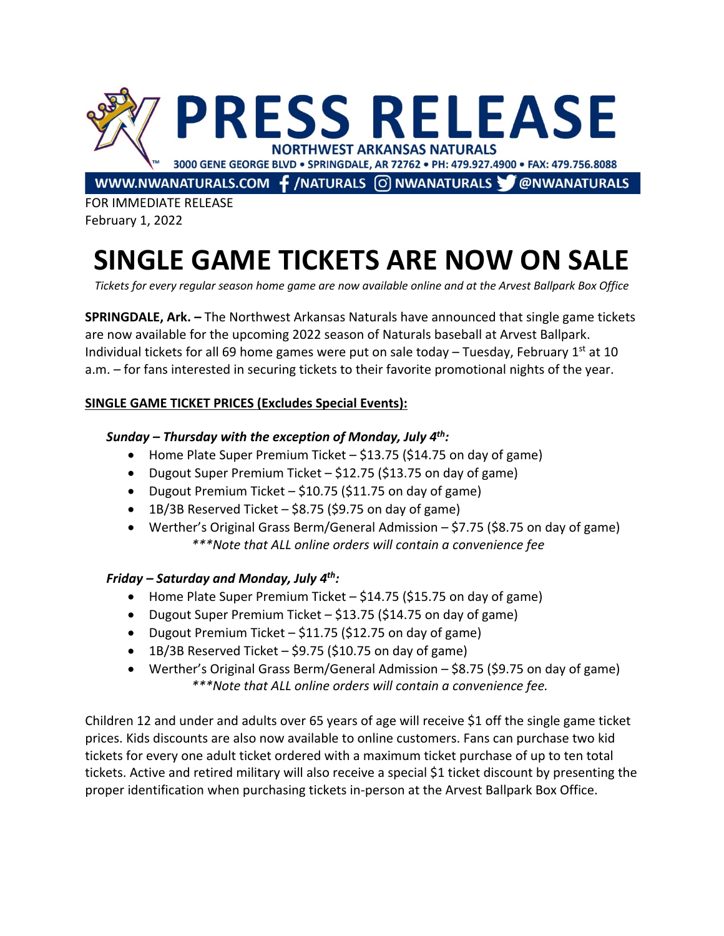

FOR IMMEDIATE RELEASE February 1, 2022

# **SINGLE GAME TICKETS ARE NOW ON SALE**

*Tickets for every regular season home game are now available online and at the Arvest Ballpark Box Office*

**SPRINGDALE, Ark. –** The Northwest Arkansas Naturals have announced that single game tickets are now available for the upcoming 2022 season of Naturals baseball at Arvest Ballpark. Individual tickets for all 69 home games were put on sale today – Tuesday, February  $1<sup>st</sup>$  at 10 a.m. – for fans interested in securing tickets to their favorite promotional nights of the year.

## **SINGLE GAME TICKET PRICES (Excludes Special Events):**

## *Sunday – Thursday with the exception of Monday, July 4th:*

- Home Plate Super Premium Ticket \$13.75 (\$14.75 on day of game)
- Dugout Super Premium Ticket \$12.75 (\$13.75 on day of game)
- Dugout Premium Ticket \$10.75 (\$11.75 on day of game)
- 1B/3B Reserved Ticket \$8.75 (\$9.75 on day of game)
- Werther's Original Grass Berm/General Admission \$7.75 (\$8.75 on day of game) *\*\*\*Note that ALL online orders will contain a convenience fee*

### *Friday – Saturday and Monday, July 4th:*

- Home Plate Super Premium Ticket \$14.75 (\$15.75 on day of game)
- Dugout Super Premium Ticket \$13.75 (\$14.75 on day of game)
- Dugout Premium Ticket \$11.75 (\$12.75 on day of game)
- $\bullet$  1B/3B Reserved Ticket \$9.75 (\$10.75 on day of game)
- Werther's Original Grass Berm/General Admission \$8.75 (\$9.75 on day of game) *\*\*\*Note that ALL online orders will contain a convenience fee.*

Children 12 and under and adults over 65 years of age will receive \$1 off the single game ticket prices. Kids discounts are also now available to online customers. Fans can purchase two kid tickets for every one adult ticket ordered with a maximum ticket purchase of up to ten total tickets. Active and retired military will also receive a special \$1 ticket discount by presenting the proper identification when purchasing tickets in-person at the Arvest Ballpark Box Office.